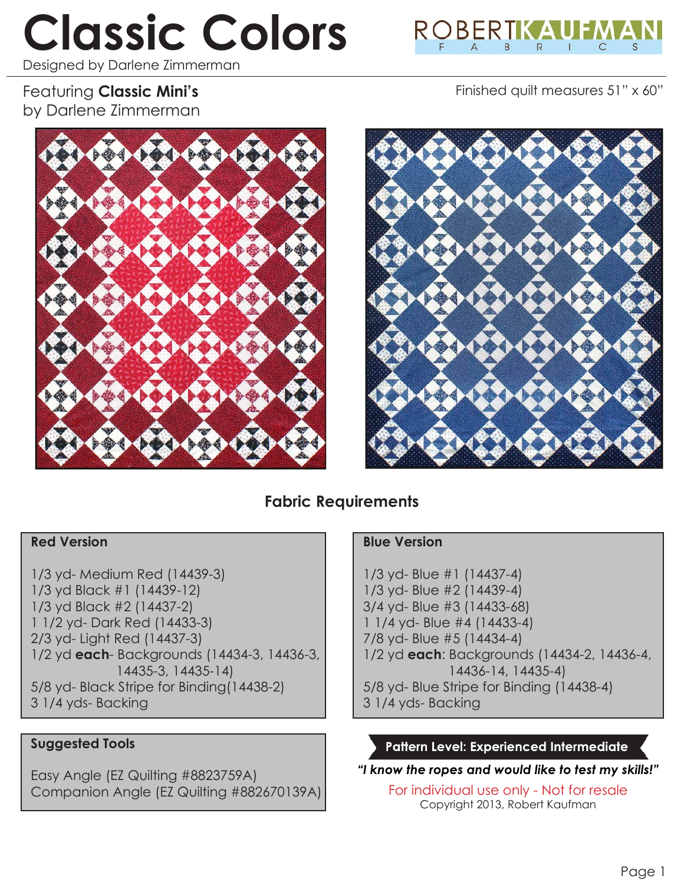# **Classic Colors**

Designed by Darlene Zimmerman



Finished quilt measures 51" x 60"

# Featuring **Classic Mini's** by Darlene Zimmerman





# **Fabric Requirements**

#### **Red Version**

1/3 yd- Medium Red (14439-3) 1/3 yd Black #1 (14439-12) 1/3 yd Black #2 (14437-2) 1 1/2 yd- Dark Red (14433-3) 2/3 yd- Light Red (14437-3) 1/2 yd **each**- Backgrounds (14434-3, 14436-3, 14435-3, 14435-14) 5/8 yd- Black Stripe for Binding(14438-2) 3 1/4 yds- Backing

#### **Suggested Tools**

Easy Angle (EZ Quilting #8823759A) Companion Angle (EZ Quilting #882670139A)

#### **Blue Version**

1/3 yd- Blue #1 (14437-4) 1/3 yd- Blue #2 (14439-4) 3/4 yd- Blue #3 (14433-68) 1 1/4 yd- Blue #4 (14433-4) 7/8 yd- Blue #5 (14434-4) 1/2 yd **each**: Backgrounds (14434-2, 14436-4, 14436-14, 14435-4) 5/8 yd- Blue Stripe for Binding (14438-4) 3 1/4 yds- Backing

#### **Pattern Level: Experienced Intermediate**

*"I know the ropes and would like to test my skills!"*

For individual use only - Not for resale Copyright 2013, Robert Kaufman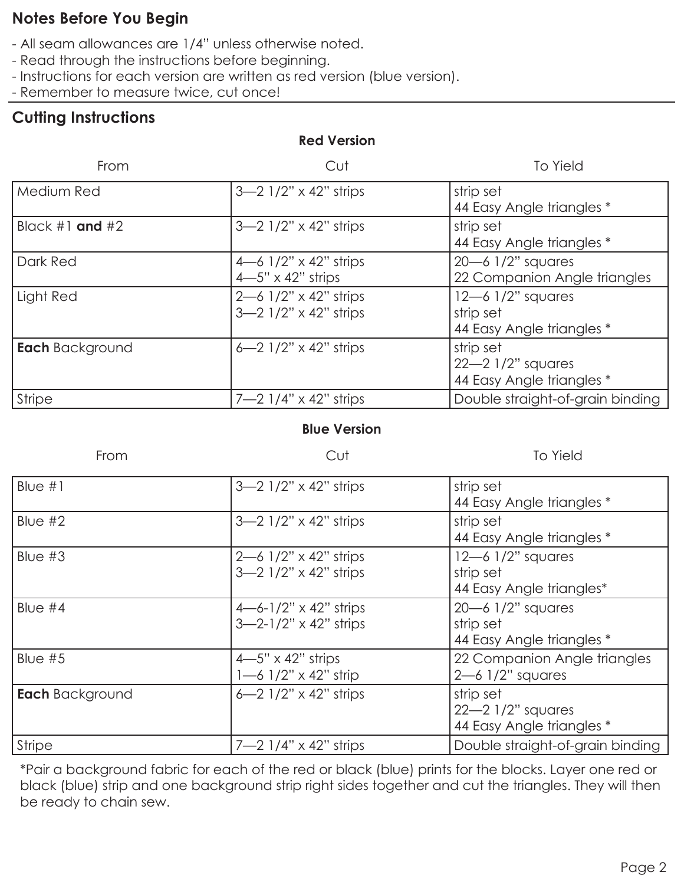# **Notes Before You Begin**

- All seam allowances are 1/4" unless otherwise noted.
- Read through the instructions before beginning.
- Instructions for each version are written as red version (blue version).
- Remember to measure twice, cut once!

# **Cutting Instructions**

## **Red Version**

| From                   | Cut                                                      | <b>To Yield</b>                                                    |
|------------------------|----------------------------------------------------------|--------------------------------------------------------------------|
| Medium Red             | $3-2$ 1/2" x 42" strips                                  | strip set<br>44 Easy Angle triangles *                             |
| Black $#1$ and $#2$    | $3-2$ 1/2" x 42" strips                                  | strip set<br>44 Easy Angle triangles *                             |
| Dark Red               | 4–6 $1/2" \times 42"$ strips<br>$4-5" \times 42"$ strips | $20 - 6$ 1/2" squares<br>22 Companion Angle triangles              |
| Light Red              | $2 - 6$ 1/2" x 42" strips<br>$3-2$ 1/2" x 42" strips     | $12 - 6$ $1/2$ " squares<br>strip set<br>44 Easy Angle triangles * |
| <b>Each</b> Background | 6–2 $1/2$ " x 42" strips                                 | strip set<br>$22 - 2$ $1/2$ " squares<br>44 Easy Angle triangles * |
| <b>Stripe</b>          | 7-2 $1/4" \times 42"$ strips                             | Double straight-of-grain binding                                   |

#### **Blue Version**

| From                   | Cut                                                              | <b>To Yield</b>                                                    |
|------------------------|------------------------------------------------------------------|--------------------------------------------------------------------|
| Blue $#1$              | $3-2$ 1/2" x 42" strips                                          | strip set<br>44 Easy Angle triangles *                             |
| Blue $#2$              | $3 - 2$ $1/2$ " x 42" strips                                     | strip set<br>44 Easy Angle triangles *                             |
| Blue $#3$              | $2 - 6$ 1/2" x 42" strips<br>$3-2$ 1/2" x 42" strips             | $12 - 6$ $1/2$ " squares<br>strip set<br>44 Easy Angle triangles*  |
| Blue $#4$              | $4 - 6 - 1/2" \times 42"$ strips<br>$3 - 2 - 1/2$ " x 42" strips | $20 - 6$ 1/2" squares<br>strip set<br>44 Easy Angle triangles *    |
| Blue $#5$              | $4-5" \times 42"$ strips<br>$1 - 6$ $1/2$ " x 42" strip          | 22 Companion Angle triangles<br>$2 - 6$ $1/2$ " squares            |
| <b>Each</b> Background | 6–2 $1/2$ " x 42" strips                                         | strip set<br>$22 - 2$ $1/2$ " squares<br>44 Easy Angle triangles * |
| <b>Stripe</b>          | $7 - 2$ $1/4$ " x 42" strips                                     | Double straight-of-grain binding                                   |

\*Pair a background fabric for each of the red or black (blue) prints for the blocks. Layer one red or black (blue) strip and one background strip right sides together and cut the triangles. They will then be ready to chain sew.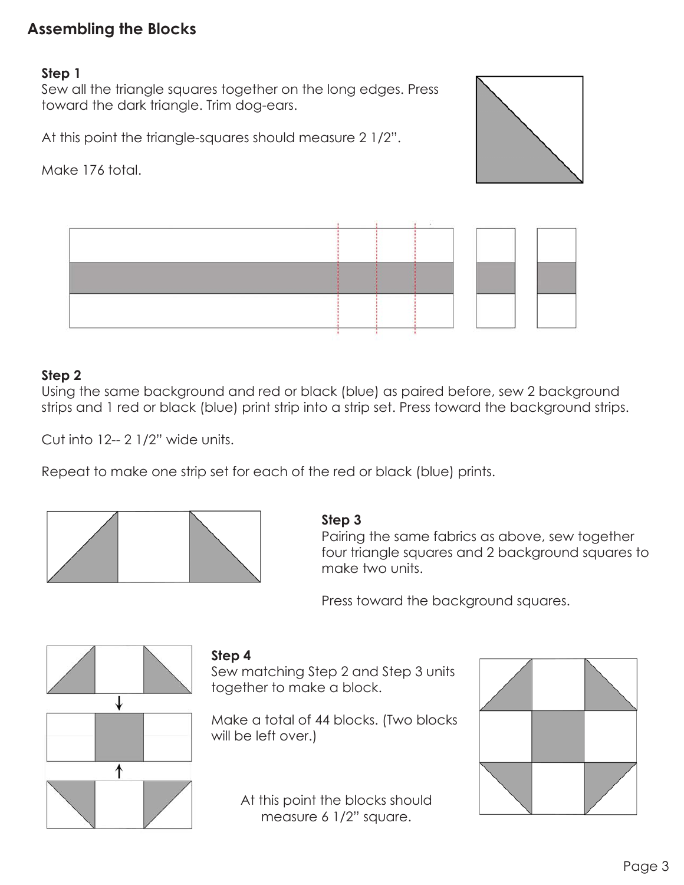# **Assembling the Blocks**

#### **Step 1**

Sew all the triangle squares together on the long edges. Press toward the dark triangle. Trim dog-ears.

At this point the triangle-squares should measure 2 1/2".

Make 176 total.





#### **Step 2**

Using the same background and red or black (blue) as paired before, sew 2 background strips and 1 red or black (blue) print strip into a strip set. Press toward the background strips.

Cut into 12-- 2 1/2" wide units.

Repeat to make one strip set for each of the red or black (blue) prints.



#### **Step 3**

Pairing the same fabrics as above, sew together four triangle squares and 2 background squares to make two units.

Press toward the background squares.



#### **Step 4**

Sew matching Step 2 and Step 3 units together to make a block.

Make a total of 44 blocks. (Two blocks will be left over.)

> At this point the blocks should measure 6 1/2" square.